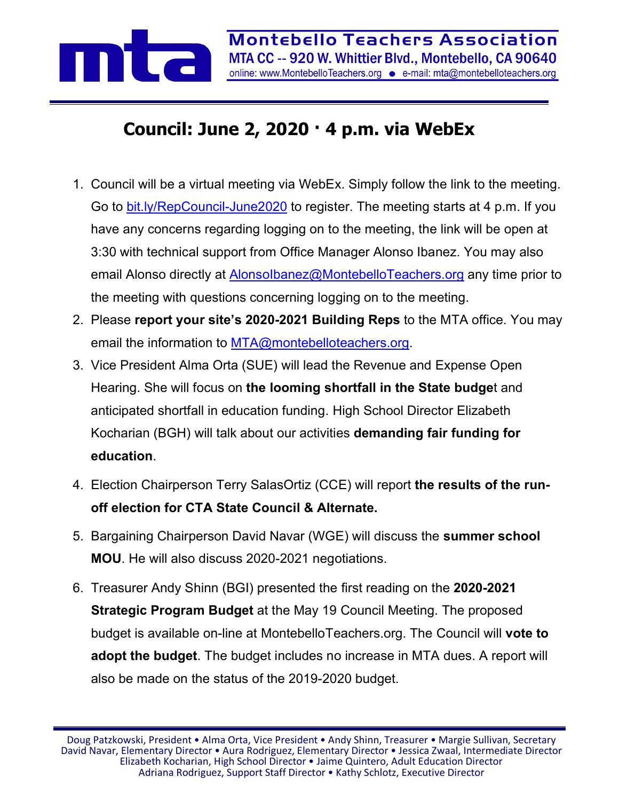

## **Council: June 2, 2020 · 4 p.m. via WebEx**

- 1. Council will be a virtual meeting via WebEx. Simply follow the link to the meeting. Go to [bit.ly/RepCouncil-June2020](http://bit.ly/RepCouncil-June2020) to register. The meeting starts at 4 p.m. If you have any concerns regarding logging on to the meeting, the link will be open at 3:30 with technical support from Office Manager Alonso Ibanez. You may also email Alonso directly at [AlonsoIbanez@MontebelloTeachers.org](mailto:AlonsoIbanez@MontebelloTeachers.org) any time prior to the meeting with questions concerning logging on to the meeting.
- 2. Please **report your site's 2020-2021 Building Reps** to the MTA office. You may email the information to **MTA@montebelloteachers.org**.
- 3. Vice President Alma Orta (SUE) will lead the Revenue and Expense Open Hearing. She will focus on **the looming shortfall in the State budge**t and anticipated shortfall in education funding. High School Director Elizabeth Kocharian (BGH) will talk about our activities **demanding fair funding for education**.
- 4. Election Chairperson Terry SalasOrtiz (CCE) will report **the results of the runoff election for CTA State Council & Alternate.**
- 5. Bargaining Chairperson David Navar (WGE) will discuss the **summer school MOU**. He will also discuss 2020-2021 negotiations.
- 6. Treasurer Andy Shinn (BGI) presented the first reading on the **2020-2021 Strategic Program Budget** at the May 19 Council Meeting. The proposed budget is available on-line at MontebelloTeachers.org. The Council will **vote to adopt the budget**. The budget includes no increase in MTA dues. A report will also be made on the status of the 2019-2020 budget.